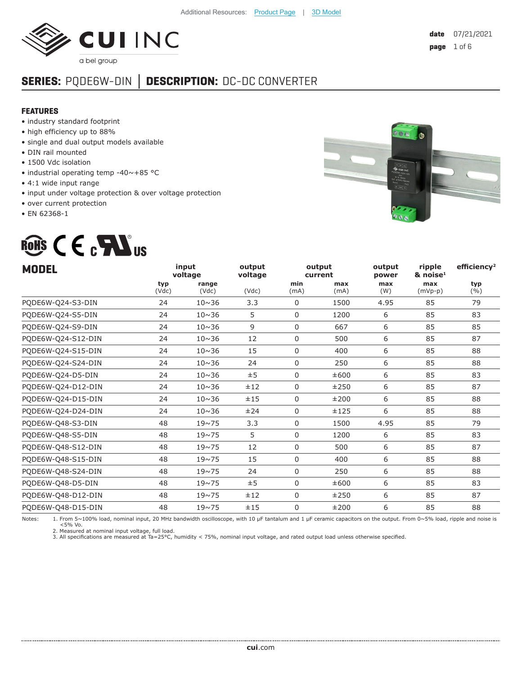

# **SERIES:** PQDE6W-DIN **│ DESCRIPTION:** DC-DC CONVERTER

#### **FEATURES**

- industry standard footprint
- high efficiency up to 88%
- single and dual output models available
- DIN rail mounted
- 1500 Vdc isolation
- industrial operating temp -40~+85 °C
- 4:1 wide input range
- input under voltage protection & over voltage protection
- over current protection
- EN 62368-1

# ROHS CECALUS



|              |                | output           |             |             | output<br>power   | ripple<br>$\&$ noise <sup>1</sup> | efficiency <sup>2</sup>                                                                                                                                                |
|--------------|----------------|------------------|-------------|-------------|-------------------|-----------------------------------|------------------------------------------------------------------------------------------------------------------------------------------------------------------------|
| typ<br>(Vdc) | range<br>(Vdc) | (Vdc)            | min<br>(mA) | max<br>(mA) | max<br>(W)        | max<br>$(mVp-p)$                  | typ<br>(9/6)                                                                                                                                                           |
| 24           | $10 \sim 36$   | 3.3              | $\Omega$    | 1500        | 4.95              | 85                                | 79                                                                                                                                                                     |
| 24           | $10 \sim 36$   | 5                | 0           | 1200        | 6                 | 85                                | 83                                                                                                                                                                     |
| 24           | $10 \sim 36$   | 9                | 0           | 667         | 6                 | 85                                | 85                                                                                                                                                                     |
| 24           | $10 \sim 36$   | 12               | 0           | 500         | 6                 | 85                                | 87                                                                                                                                                                     |
| 24           | $10 \sim 36$   | 15               | $\mathbf 0$ | 400         | 6                 | 85                                | 88                                                                                                                                                                     |
| 24           | $10 \sim 36$   | 24               | $\Omega$    | 250         | 6                 | 85                                | 88                                                                                                                                                                     |
| 24           | $10 \sim 36$   | ±5               | 0           | ±600        | 6                 | 85                                | 83                                                                                                                                                                     |
| 24           | $10 \sim 36$   | ±12              | 0           | ±250        | 6                 | 85                                | 87                                                                                                                                                                     |
| 24           | $10 \sim 36$   | ±15              | 0           | ±200        | 6                 | 85                                | 88                                                                                                                                                                     |
| 24           | $10 \sim 36$   | ±24              | $\mathbf 0$ | ±125        | 6                 | 85                                | 88                                                                                                                                                                     |
| 48           | $19 - 75$      | 3.3              | 0           | 1500        | 4.95              | 85                                | 79                                                                                                                                                                     |
| 48           | $19 - 75$      | 5                | 0           | 1200        | 6                 | 85                                | 83                                                                                                                                                                     |
| 48           | $19 - 75$      | 12               | 0           | 500         | 6                 | 85                                | 87                                                                                                                                                                     |
| 48           | $19 - 75$      | 15               | $\mathbf 0$ | 400         | 6                 | 85                                | 88                                                                                                                                                                     |
| 48           | $19 - 75$      | 24               | 0           | 250         | 6                 | 85                                | 88                                                                                                                                                                     |
| 48           | $19 \sim 75$   | ±5               | 0           | ±600        | 6                 | 85                                | 83                                                                                                                                                                     |
| 48           | $19 - 75$      | ±12              | $\Omega$    | ±250        | 6                 | 85                                | 87                                                                                                                                                                     |
| 48           | $19 - 75$      | ±15              | 0           | ±200        | 6                 | 85                                | 88                                                                                                                                                                     |
|              |                | input<br>voltage | voltage     |             | output<br>current |                                   | Nikes: 4 Form F 4000 lead accepted to can be additional contractor with 40 of teaching and 4 of computer concernsive and a man form of F0 lead whole early contract to |

Notes: 1. From 5~100% load, nominal input, 20 MHz bandwidth oscilloscope, with 10 μF tantalum and 1 μF ceramic capacitors on the output. From 0~5% load, ripple and noise is<br><5% Vo. →

2. Measured at nominal input voltage, full load. 3. All specifications are measured at Ta=25°C, humidity < 75%, nominal input voltage, and rated output load unless otherwise specified.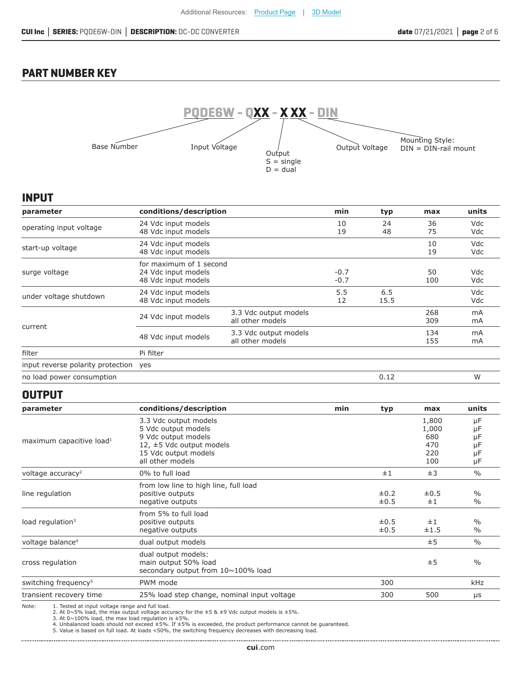## **PART NUMBER KEY**



#### **INPUT**

| parameter                         | conditions/description                                                |                                           | min              | typ         | max        | units                |
|-----------------------------------|-----------------------------------------------------------------------|-------------------------------------------|------------------|-------------|------------|----------------------|
| operating input voltage           | 24 Vdc input models<br>48 Vdc input models                            |                                           | 10<br>19         | 24<br>48    | 36<br>75   | Vdc<br>Vdc           |
| start-up voltage                  | 24 Vdc input models<br>48 Vdc input models                            |                                           |                  |             | 10<br>19   | <b>Vdc</b><br>Vdc    |
| surge voltage                     | for maximum of 1 second<br>24 Vdc input models<br>48 Vdc input models |                                           | $-0.7$<br>$-0.7$ |             | 50<br>100  | Vdc<br>Vdc           |
| under voltage shutdown            | 24 Vdc input models<br>48 Vdc input models                            |                                           | 5.5<br>12        | 6.5<br>15.5 |            | <b>Vdc</b><br>Vdc    |
| current                           | 24 Vdc input models                                                   | 3.3 Vdc output models<br>all other models |                  |             | 268<br>309 | m <sub>A</sub><br>mA |
|                                   | 48 Vdc input models                                                   | 3.3 Vdc output models<br>all other models |                  |             | 134<br>155 | m <sub>A</sub><br>mA |
| filter                            | Pi filter                                                             |                                           |                  |             |            |                      |
| input reverse polarity protection | yes                                                                   |                                           |                  |             |            |                      |
| no load power consumption         |                                                                       |                                           |                  | 0.12        |            | W                    |

#### **OUTPUT**

| parameter                            | conditions/description                                                                                                                      | min | typ                    | max                                        | units                            |
|--------------------------------------|---------------------------------------------------------------------------------------------------------------------------------------------|-----|------------------------|--------------------------------------------|----------------------------------|
| maximum capacitive load <sup>1</sup> | 3.3 Vdc output models<br>5 Vdc output models<br>9 Vdc output models<br>12, ±5 Vdc output models<br>15 Vdc output models<br>all other models |     |                        | 1,800<br>1,000<br>680<br>470<br>220<br>100 | μF<br>μF<br>μF<br>μF<br>μF<br>μF |
| voltage accuracy <sup>2</sup>        | 0% to full load                                                                                                                             |     | ±1                     | ±3                                         | $\frac{0}{0}$                    |
| line regulation                      | from low line to high line, full load<br>positive outputs<br>negative outputs<br>from 5% to full load                                       |     | $\pm 0.2$<br>$\pm 0.5$ | $\pm 0.5$<br>±1                            | $\%$<br>$\%$                     |
| load regulation <sup>3</sup>         | positive outputs<br>negative outputs                                                                                                        |     | $\pm 0.5$<br>$\pm 0.5$ | ±1<br>±1.5                                 | $\frac{0}{0}$<br>$\%$            |
| voltage balance <sup>4</sup>         | dual output models                                                                                                                          |     |                        | ±5                                         | $\%$                             |
| cross regulation                     | dual output models:<br>main output 50% load<br>secondary output from 10~100% load                                                           |     |                        | ±5                                         | $\frac{0}{0}$                    |
| switching frequency <sup>5</sup>     | PWM mode                                                                                                                                    |     | 300                    |                                            | kHz                              |
| transient recovery time              | 25% load step change, nominal input voltage                                                                                                 |     | 300                    | 500                                        | $\mu$ s                          |

Note: 1. Tested at input voltage range and full load.<br>
2. At 0~5% load, the max output voltage accuracy for the ±5 & ±9 Vdc output models is ±5%.<br>
3. At 0~100% load, the max load regulation is ±5%.<br>
4. Unbalanced loads sh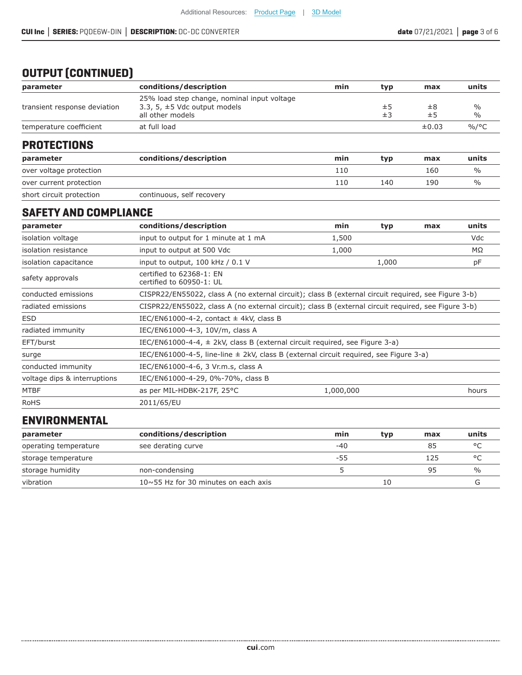# **OUTPUT (CONTINUED)**

| parameter                    | conditions/description                                                                               | min | tvp      | max           | units                 |
|------------------------------|------------------------------------------------------------------------------------------------------|-----|----------|---------------|-----------------------|
| transient response deviation | 25% load step change, nominal input voltage<br>3.3, 5, $\pm$ 5 Vdc output models<br>all other models |     | ±5<br>±3 | $\pm 8$<br>±5 | $\%$<br>$\frac{0}{0}$ |
| temperature coefficient      | at full load                                                                                         |     |          | $\pm 0.03$    | $\%$ /°C              |
|                              |                                                                                                      |     |          |               |                       |

#### **PROTECTIONS**

| parameter                | conditions/description    | min | typ | max | units         |
|--------------------------|---------------------------|-----|-----|-----|---------------|
| over voltage protection  |                           | 110 |     | 160 | $\frac{0}{0}$ |
| over current protection  |                           | 110 | 140 | 190 | $\%$          |
| short circuit protection | continuous, self recovery |     |     |     |               |

#### **SAFETY AND COMPLIANCE**

| parameter                    | conditions/description                                                                              | min       | typ   | max | units |
|------------------------------|-----------------------------------------------------------------------------------------------------|-----------|-------|-----|-------|
| isolation voltage            | input to output for 1 minute at 1 mA                                                                | 1,500     |       |     | Vdc   |
| isolation resistance         | input to output at 500 Vdc                                                                          | 1,000     |       |     | MΩ    |
| isolation capacitance        | input to output, 100 kHz / 0.1 V                                                                    |           | 1,000 |     | pF    |
| safety approvals             | certified to 62368-1: EN<br>certified to 60950-1: UL                                                |           |       |     |       |
| conducted emissions          | CISPR22/EN55022, class A (no external circuit); class B (external circuit required, see Figure 3-b) |           |       |     |       |
| radiated emissions           | CISPR22/EN55022, class A (no external circuit); class B (external circuit required, see Figure 3-b) |           |       |     |       |
| <b>ESD</b>                   | IEC/EN61000-4-2, contact $\pm$ 4kV, class B                                                         |           |       |     |       |
| radiated immunity            | IEC/EN61000-4-3, 10V/m, class A                                                                     |           |       |     |       |
| EFT/burst                    | IEC/EN61000-4-4, $\pm$ 2kV, class B (external circuit required, see Figure 3-a)                     |           |       |     |       |
| surge                        | IEC/EN61000-4-5, line-line $\pm$ 2kV, class B (external circuit required, see Figure 3-a)           |           |       |     |       |
| conducted immunity           | IEC/EN61000-4-6, 3 Vr.m.s, class A                                                                  |           |       |     |       |
| voltage dips & interruptions | IEC/EN61000-4-29, 0%-70%, class B                                                                   |           |       |     |       |
| <b>MTBF</b>                  | as per MIL-HDBK-217F, 25°C                                                                          | 1,000,000 |       |     | hours |
| <b>RoHS</b>                  | 2011/65/EU                                                                                          |           |       |     |       |

#### **ENVIRONMENTAL**

| parameter             | conditions/description                      | min | typ | max | units         |
|-----------------------|---------------------------------------------|-----|-----|-----|---------------|
| operating temperature | see derating curve                          | -40 |     | 85  | ٥٢            |
| storage temperature   |                                             | -55 |     | 125 | $\circ$       |
| storage humidity      | non-condensing                              |     |     | 95  | $\frac{0}{0}$ |
| vibration             | $10 \sim 55$ Hz for 30 minutes on each axis |     | 10  |     |               |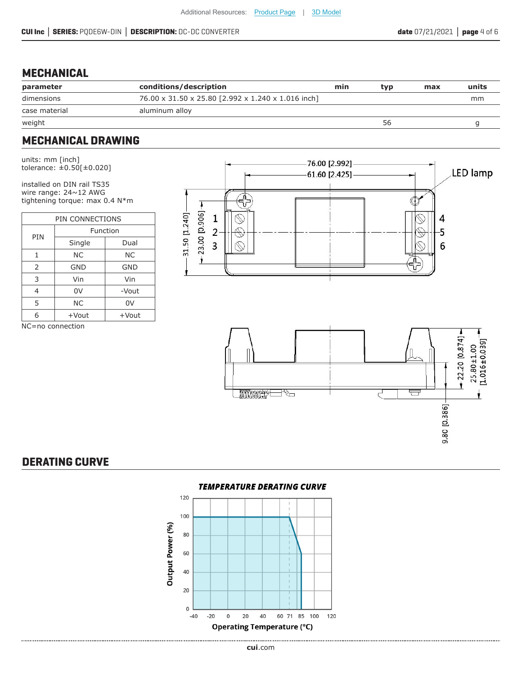#### **MECHANICAL**

| parameter     | conditions/description                             | min | tvp | max | units |
|---------------|----------------------------------------------------|-----|-----|-----|-------|
| dimensions    | 76.00 x 31.50 x 25.80 [2.992 x 1.240 x 1.016 inch] |     |     |     | mm    |
| case material | aluminum alloy                                     |     |     |     |       |
| weight        |                                                    |     | 56  |     |       |

#### **MECHANICAL DRAWING**

units: mm [inch] tolerance: ±0.50[±0.020]

installed on DIN rail TS35 wire range: 24~12 AWG tightening torque: max 0.4 N\*m

| PIN CONNECTIONS             |            |            |  |  |
|-----------------------------|------------|------------|--|--|
| PIN                         | Function   |            |  |  |
|                             | Single     | Dual       |  |  |
| 1                           | ΝC         | NС         |  |  |
| $\overline{2}$              | <b>GND</b> | <b>GND</b> |  |  |
| 3                           | Vin        | Vin        |  |  |
| 4                           | 0V         | -Vout      |  |  |
| 5                           | <b>NC</b>  | 0V         |  |  |
| 6                           | $+$ Vout   | +Vout      |  |  |
| $\ddot{\phantom{1}}$<br>. . |            |            |  |  |







## **DERATING CURVE**

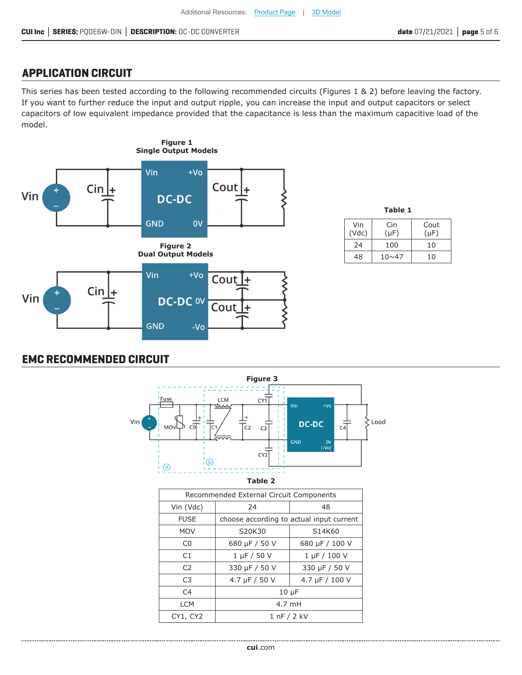#### **APPLICATION CIRCUIT**

This series has been tested according to the following recommended circuits (Figures 1 & 2) before leaving the factory. If you want to further reduce the input and output ripple, you can increase the input and output capacitors or select capacitors of low equivalent impedance provided that the capacitance is less than the maximum capacitive load of the model.



| Table 1 |      |           |  |  |  |
|---------|------|-----------|--|--|--|
| Vin     | Cin  | Cout      |  |  |  |
| (Vdc)   | (uF) | $(\mu F)$ |  |  |  |

 $24 \mid 100 \mid 10$  $48$  |  $10\sim47$  | 10

## **EMC RECOMMENDED CIRCUIT**



**Table 2**

| Recommended External Circuit Components |                                          |                |  |  |  |
|-----------------------------------------|------------------------------------------|----------------|--|--|--|
| Vin (Vdc)                               | 24<br>48                                 |                |  |  |  |
| <b>FUSE</b>                             | choose according to actual input current |                |  |  |  |
| <b>MOV</b>                              | S20K30                                   | S14K60         |  |  |  |
| C <sub>0</sub>                          | 680 µF / 50 V<br>680 µF / 100 V          |                |  |  |  |
| C1                                      | $1 \mu F / 50 V$                         | 1 µF / 100 V   |  |  |  |
| C <sub>2</sub>                          | 330 µF / 50 V                            | 330 µF / 50 V  |  |  |  |
| C <sub>3</sub>                          | 4.7 $\mu$ F / 50 V                       | 4.7 µF / 100 V |  |  |  |
| C <sub>4</sub>                          | $10 \mu F$                               |                |  |  |  |
| <b>LCM</b>                              | 4.7 mH                                   |                |  |  |  |
| CY1, CY2                                | 1 nF / 2 kV                              |                |  |  |  |